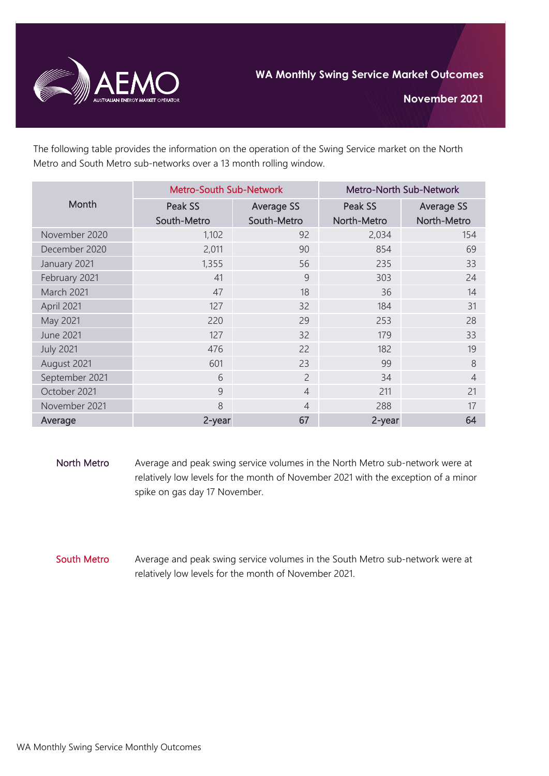

**November 2021**

The following table provides the information on the operation of the Swing Service market on the North Metro and South Metro sub-networks over a 13 month rolling window.

| Month            | <b>Metro-South Sub-Network</b> |                | Metro-North Sub-Network |                   |
|------------------|--------------------------------|----------------|-------------------------|-------------------|
|                  | Peak SS                        | Average SS     | Peak SS                 | <b>Average SS</b> |
|                  | South-Metro                    | South-Metro    | North-Metro             | North-Metro       |
| November 2020    | 1,102                          | 92             | 2,034                   | 154               |
| December 2020    | 2,011                          | 90             | 854                     | 69                |
| January 2021     | 1,355                          | 56             | 235                     | 33                |
| February 2021    | 41                             | 9              | 303                     | 24                |
| March 2021       | 47                             | 18             | 36                      | 14                |
| April 2021       | 127                            | 32             | 184                     | 31                |
| May 2021         | 220                            | 29             | 253                     | 28                |
| <b>June 2021</b> | 127                            | 32             | 179                     | 33                |
| <b>July 2021</b> | 476                            | 22             | 182                     | 19                |
| August 2021      | 601                            | 23             | 99                      | 8                 |
| September 2021   | 6                              | $\overline{2}$ | 34                      | $\overline{4}$    |
| October 2021     | 9                              | $\overline{4}$ | 211                     | 21                |
| November 2021    | 8                              | 4              | 288                     | 17                |
| Average          | 2-year                         | 67             | 2-year                  | 64                |

- North Metro Average and peak swing service volumes in the North Metro sub-network were at relatively low levels for the month of November 2021 with the exception of a minor spike on gas day 17 November.
- South Metro Average and peak swing service volumes in the South Metro sub-network were at relatively low levels for the month of November 2021.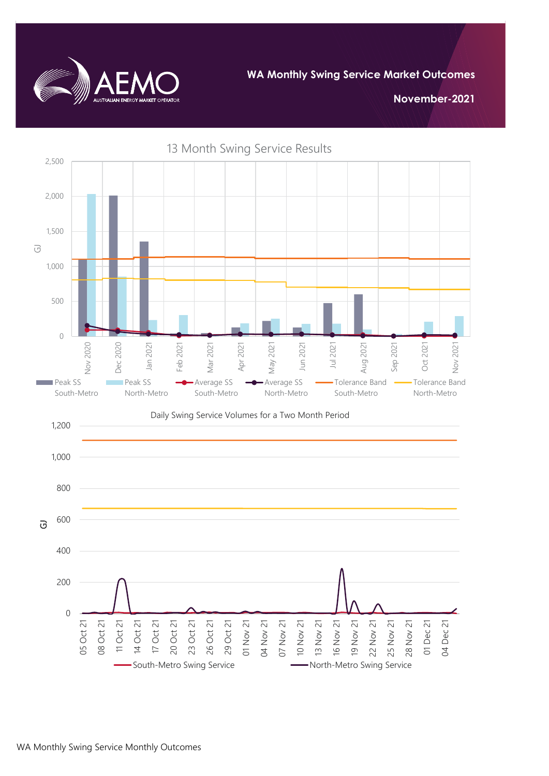

**WA Monthly Swing Service Market Outcomes**

**November-2021**